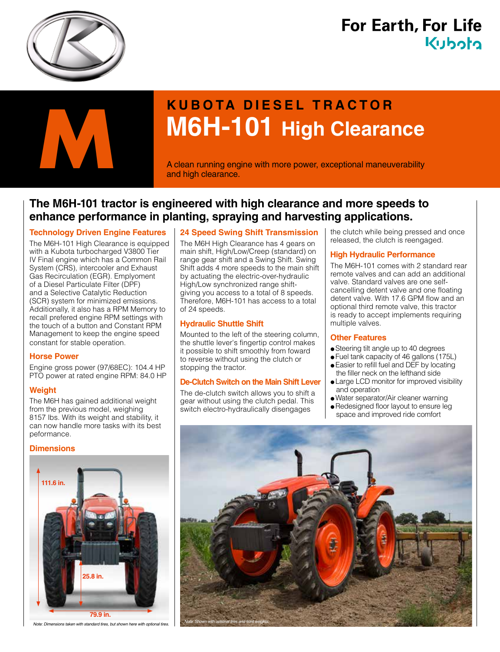

# **For Earth, For Life** Kuboto



# **KUBOTA DIESEL TRACTOR M6H-101 High Clearance M6H-101 High Clearance**<br>A clean running engine with more power, exceptional maneuverability and high clearance.

and high clearance.

### **The M6H-101 tractor is engineered with high clearance and more speeds to enhance performance in planting, spraying and harvesting applications.**

#### **Technology Driven Engine Features**

The M6H-101 High Clearance is equipped with a Kubota turbocharged V3800 Tier IV Final engine which has a Common Rail System (CRS), intercooler and Exhaust Gas Recirculation (EGR). Emplyoment of a Diesel Particulate Filter (DPF) and a Selective Catalytic Reduction (SCR) system for minimized emissions. Additionally, it also has a RPM Memory to recall prefered engine RPM settings with the touch of a button and Constant RPM Management to keep the engine speed constant for stable operation.

#### **Horse Power**

Engine gross power (97/68EC): 104.4 HP PTO power at rated engine RPM: 84.0 HP

#### **Weight**

The M6H has gained additional weight from the previous model, weighing 8157 lbs. With its weight and stability, it can now handle more tasks with its best peformance.

#### **Dimensions**



*Note: Dimensions taken with standard tires, but shown here with optional tires. Note: Shown with optional tires and front weights.*

#### **24 Speed Swing Shift Transmission**

The M6H High Clearance has 4 gears on main shift, High/Low/Creep (standard) on range gear shift and a Swing Shift. Swing Shift adds 4 more speeds to the main shift by actuating the electric-over-hydraulic High/Low synchronized range shiftgiving you access to a total of 8 speeds. Therefore, M6H-101 has access to a total of 24 speeds.

#### **Hydraulic Shuttle Shift**

Mounted to the left of the steering column, the shuttle lever's fingertip control makes it possible to shift smoothly from foward to reverse without using the clutch or stopping the tractor.

#### **De-Clutch Switch on the Main Shift Lever**

The de-clutch switch allows you to shift a gear without using the clutch pedal. This switch electro-hydraulically disengages

the clutch while being pressed and once released, the clutch is reengaged.

#### **High Hydraulic Performance**

The M6H-101 comes with 2 standard rear remote valves and can add an additional valve. Standard valves are one selfcancelling detent valve and one floating detent valve. With 17.6 GPM flow and an optional third remote valve, this tractor is ready to accept implements requiring multiple valves.

#### **Other Features**

- Steering tilt angle up to 40 degrees
- Fuel tank capacity of 46 gallons (175L)
- Easier to refill fuel and DEF by locating the filler neck on the lefthand side
- Large LCD monitor for improved visibility and operation
- Water separator/Air cleaner warning
- Redesigned floor layout to ensure leg space and improved ride comfort